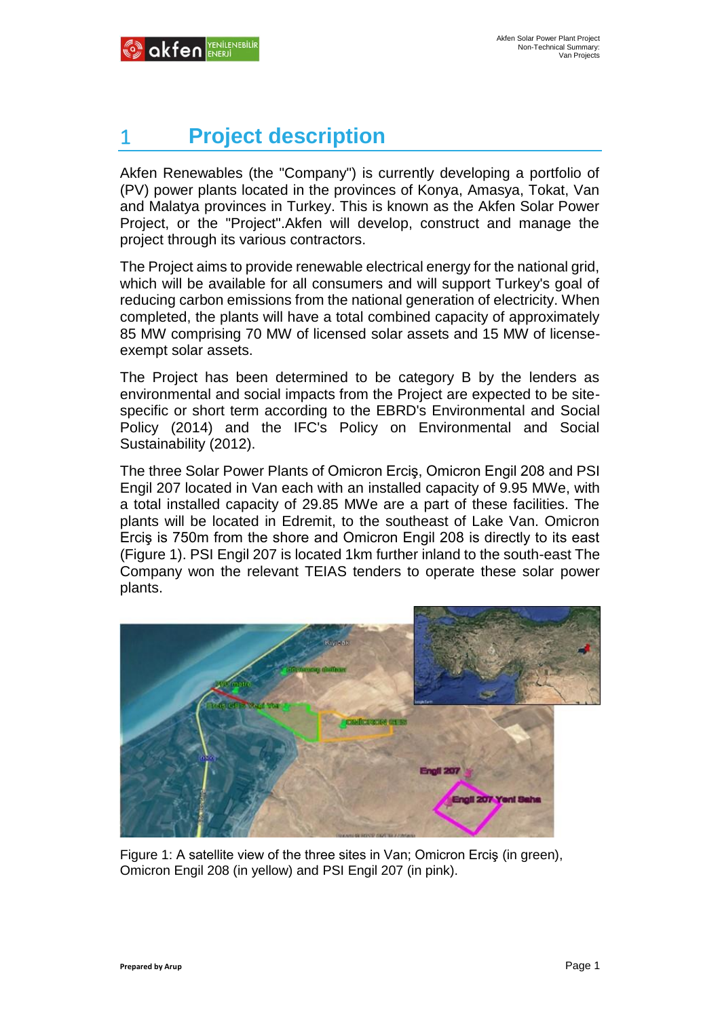# 1 **Project description**

Akfen Renewables (the "Company") is currently developing a portfolio of (PV) power plants located in the provinces of Konya, Amasya, Tokat, Van and Malatya provinces in Turkey. This is known as the Akfen Solar Power Project, or the "Project".Akfen will develop, construct and manage the project through its various contractors.

The Project aims to provide renewable electrical energy for the national grid, which will be available for all consumers and will support Turkey's goal of reducing carbon emissions from the national generation of electricity. When completed, the plants will have a total combined capacity of approximately 85 MW comprising 70 MW of licensed solar assets and 15 MW of licenseexempt solar assets.

The Project has been determined to be category B by the lenders as environmental and social impacts from the Project are expected to be sitespecific or short term according to the EBRD's Environmental and Social Policy (2014) and the IFC's Policy on Environmental and Social Sustainability (2012).

The three Solar Power Plants of Omicron Erciş, Omicron Engil 208 and PSI Engil 207 located in Van each with an installed capacity of 9.95 MWe, with a total installed capacity of 29.85 MWe are a part of these facilities. The plants will be located in Edremit, to the southeast of Lake Van. Omicron Erciş is 750m from the shore and Omicron Engil 208 is directly to its east (Figure 1). PSI Engil 207 is located 1km further inland to the south-east The Company won the relevant TEIAS tenders to operate these solar power plants.



Figure 1: A satellite view of the three sites in Van; Omicron Erciş (in green), Omicron Engil 208 (in yellow) and PSI Engil 207 (in pink).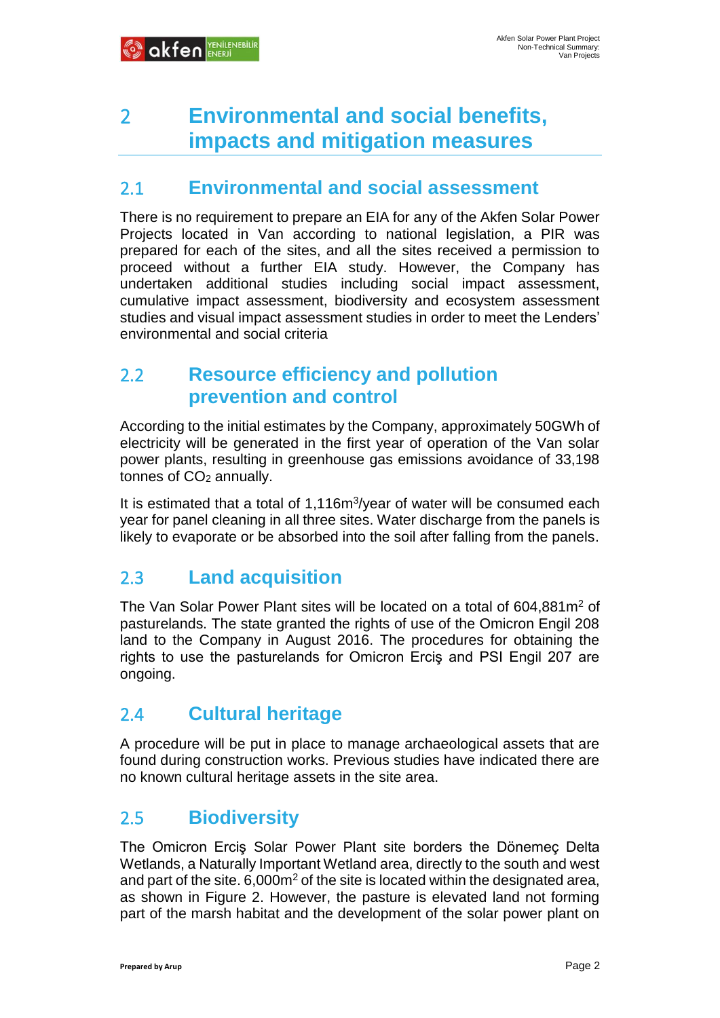# 2 **Environmental and social benefits, impacts and mitigation measures**

#### 2.1 **Environmental and social assessment**

There is no requirement to prepare an EIA for any of the Akfen Solar Power Projects located in Van according to national legislation, a PIR was prepared for each of the sites, and all the sites received a permission to proceed without a further EIA study. However, the Company has undertaken additional studies including social impact assessment, cumulative impact assessment, biodiversity and ecosystem assessment studies and visual impact assessment studies in order to meet the Lenders' environmental and social criteria

### 2.2 **Resource efficiency and pollution prevention and control**

According to the initial estimates by the Company, approximately 50GWh of electricity will be generated in the first year of operation of the Van solar power plants, resulting in greenhouse gas emissions avoidance of 33,198 tonnes of  $CO<sub>2</sub>$  annually.

It is estimated that a total of 1,116m<sup>3</sup>/year of water will be consumed each year for panel cleaning in all three sites. Water discharge from the panels is likely to evaporate or be absorbed into the soil after falling from the panels.

### 2.3 **Land acquisition**

The Van Solar Power Plant sites will be located on a total of 604,881m<sup>2</sup> of pasturelands. The state granted the rights of use of the Omicron Engil 208 land to the Company in August 2016. The procedures for obtaining the rights to use the pasturelands for Omicron Erciş and PSI Engil 207 are ongoing.

### 2.4 **Cultural heritage**

A procedure will be put in place to manage archaeological assets that are found during construction works. Previous studies have indicated there are no known cultural heritage assets in the site area.

#### 2.5 **Biodiversity**

The Omicron Erciş Solar Power Plant site borders the Dönemeç Delta Wetlands, a Naturally Important Wetland area, directly to the south and west and part of the site.  $6.000m^2$  of the site is located within the designated area, as shown in Figure 2. However, the pasture is elevated land not forming part of the marsh habitat and the development of the solar power plant on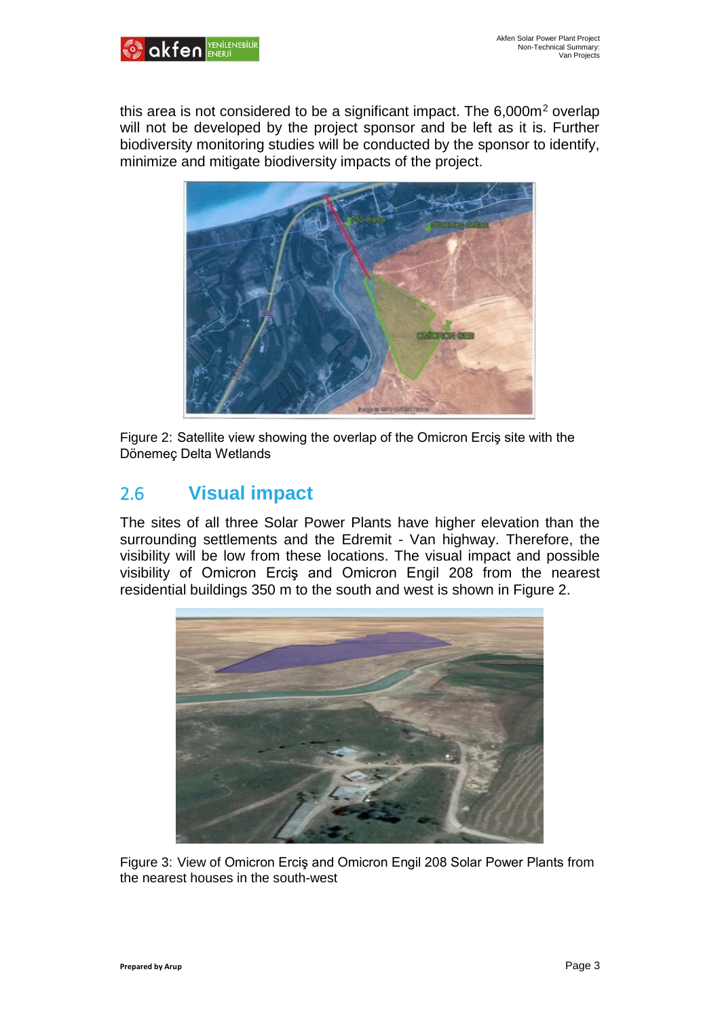

this area is not considered to be a significant impact. The  $6,000m^2$  overlap will not be developed by the project sponsor and be left as it is. Further biodiversity monitoring studies will be conducted by the sponsor to identify, minimize and mitigate biodiversity impacts of the project.



Figure 2: Satellite view showing the overlap of the Omicron Erciş site with the Dönemeç Delta Wetlands

## 2.6 **Visual impact**

The sites of all three Solar Power Plants have higher elevation than the surrounding settlements and the Edremit - Van highway. Therefore, the visibility will be low from these locations. The visual impact and possible visibility of Omicron Erciş and Omicron Engil 208 from the nearest residential buildings 350 m to the south and west is shown in Figure 2.



Figure 3: View of Omicron Erciş and Omicron Engil 208 Solar Power Plants from the nearest houses in the south-west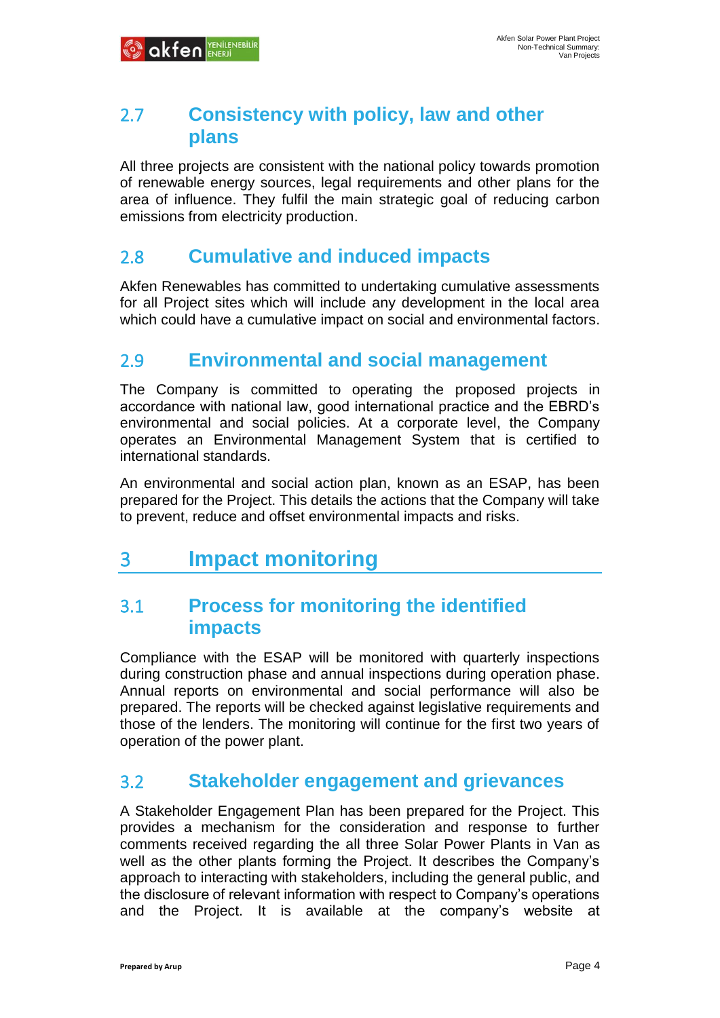#### 2.7 **Consistency with policy, law and other plans**

All three projects are consistent with the national policy towards promotion of renewable energy sources, legal requirements and other plans for the area of influence. They fulfil the main strategic goal of reducing carbon emissions from electricity production.

### 2.8 **Cumulative and induced impacts**

Akfen Renewables has committed to undertaking cumulative assessments for all Project sites which will include any development in the local area which could have a cumulative impact on social and environmental factors.

#### 2.9 **Environmental and social management**

The Company is committed to operating the proposed projects in accordance with national law, good international practice and the EBRD's environmental and social policies. At a corporate level, the Company operates an Environmental Management System that is certified to international standards.

An environmental and social action plan, known as an ESAP, has been prepared for the Project. This details the actions that the Company will take to prevent, reduce and offset environmental impacts and risks.

# 3 **Impact monitoring**

#### 3.1 **Process for monitoring the identified impacts**

Compliance with the ESAP will be monitored with quarterly inspections during construction phase and annual inspections during operation phase. Annual reports on environmental and social performance will also be prepared. The reports will be checked against legislative requirements and those of the lenders. The monitoring will continue for the first two years of operation of the power plant.

#### 3.2 **Stakeholder engagement and grievances**

A Stakeholder Engagement Plan has been prepared for the Project. This provides a mechanism for the consideration and response to further comments received regarding the all three Solar Power Plants in Van as well as the other plants forming the Project. It describes the Company's approach to interacting with stakeholders, including the general public, and the disclosure of relevant information with respect to Company's operations and the Project. It is available at the company's website at